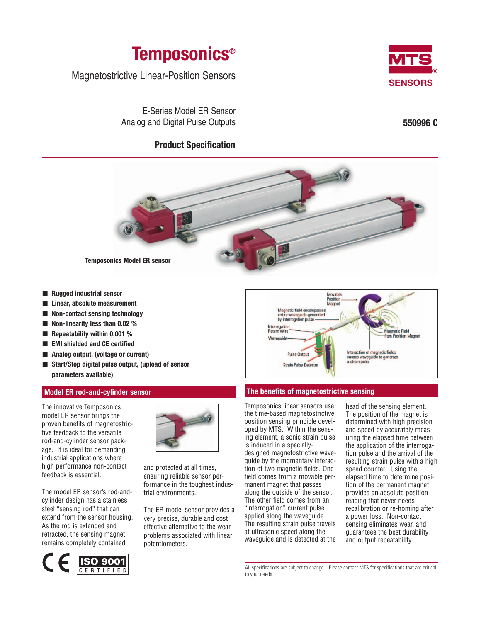

Magnetostrictive Linear-Position Sensors

E-Series Model ER Sensor Analog and Digital Pulse Outputs

# **Product Specification**



**550996 C**



■ **Rugged industrial sensor**

- **Linear, absolute measurement**
- **Non-contact sensing technology**
- **Non-linearity less than 0.02 %**
- **Repeatability within 0.001 %**
- **EMI shielded and CE certified**
- **Analog output, (voltage or current)**
- **Start/Stop digital pulse output, (upload of sensor parameters available)**

### **Model ER rod-and-cylinder sensor**

The innovative Temposonics model ER sensor brings the proven benefits of magnetostrictive feedback to the versatile rod-and-cylinder sensor package. It is ideal for demanding industrial applications where high performance non-contact feedback is essential.

The model ER sensor's rod-andcylinder design has a stainless steel "sensing rod" that can extend from the sensor housing. As the rod is extended and retracted, the sensing magnet remains completely contained





and protected at all times, ensuring reliable sensor performance in the toughest industrial environments.

The ER model sensor provides a very precise, durable and cost effective alternative to the wear problems associated with linear potentiometers.



## **The benefits of magnetostrictive sensing**

Temposonics linear sensors use the time-based magnetostrictive position sensing principle developed by MTS. Within the sensing element, a sonic strain pulse is induced in a specially-

designed magnetostrictive waveguide by the momentary interaction of two magnetic fields. One field comes from a movable permanent magnet that passes along the outside of the sensor. The other field comes from an "interrogation" current pulse applied along the waveguide. The resulting strain pulse travels at ultrasonic speed along the waveguide and is detected at the

head of the sensing element. The position of the magnet is determined with high precision and speed by accurately measuring the elapsed time between the application of the interrogation pulse and the arrival of the resulting strain pulse with a high speed counter. Using the elapsed time to determine position of the permanent magnet provides an absolute position reading that never needs recalibration or re-homing after a power loss. Non-contact sensing eliminates wear, and guarantees the best durability and output repeatability.

All specifications are subject to change. Please contact MTS for specifications that are critical to your needs.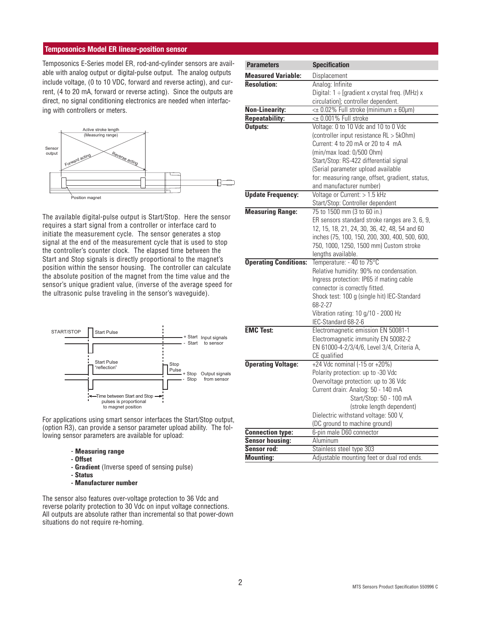## **Temposonics Model ER linear-position sensor**

Temposonics E-Series model ER, rod-and-cylinder sensors are available with analog output or digital-pulse output. The analog outputs include voltage, (0 to 10 VDC, forward and reverse acting), and current, (4 to 20 mA, forward or reverse acting). Since the outputs are direct, no signal conditioning electronics are needed when interfacing with controllers or meters.



The available digital-pulse output is Start/Stop. Here the sensor requires a start signal from a controller or interface card to initiate the measurement cycle. The sensor generates a stop signal at the end of the measurement cycle that is used to stop the controller's counter clock. The elapsed time between the Start and Stop signals is directly proportional to the magnet's position within the sensor housing. The controller can calculate the absolute position of the magnet from the time value and the sensor's unique gradient value, (inverse of the average speed for the ultrasonic pulse traveling in the sensor's waveguide).



For applications using smart sensor interfaces the Start/Stop output, (option R3), can provide a sensor parameter upload ability. The following sensor parameters are available for upload:

- **Measuring range**
- **Offset**
- **Gradient** (Inverse speed of sensing pulse)
- **Status**
- **Manufacturer number**

The sensor also features over-voltage protection to 36 Vdc and reverse polarity protection to 30 Vdc on input voltage connections. All outputs are absolute rather than incremental so that power-down situations do not require re-homing.

| <b>Parameters</b>            | <b>Specification</b>                            |
|------------------------------|-------------------------------------------------|
| <b>Measured Variable:</b>    | Displacement                                    |
| <b>Resolution:</b>           | Analog: Infinite                                |
|                              | Digital: 1 ÷ [gradient x crystal freq. (MHz) x  |
|                              | circulation]; controller dependent.             |
| <b>Non-Linearity:</b>        | <± 0.02% Full stroke (minimum ± 60µm)           |
| <b>Repeatability:</b>        | <± 0.001% Full stroke                           |
| Outputs:                     | Voltage: 0 to 10 Vdc and 10 to 0 Vdc            |
|                              | (controller input resistance RL > 5kOhm)        |
|                              | Current: 4 to 20 mA or 20 to 4 mA               |
|                              | (min/max load: 0/500 Ohm)                       |
|                              | Start/Stop: RS-422 differential signal          |
|                              | (Serial parameter upload available              |
|                              | for: measuring range, offset, gradient, status, |
|                              | and manufacturer number)                        |
| <b>Update Frequency:</b>     | Voltage or Current: > 1.5 kHz                   |
|                              | Start/Stop: Controller dependent                |
| <b>Measuring Range:</b>      | 75 to 1500 mm (3 to 60 in.)                     |
|                              | ER sensors standard stroke ranges are 3, 6, 9,  |
|                              | 12, 15, 18, 21, 24, 30, 36, 42, 48, 54 and 60   |
|                              | inches (75, 100, 150, 200, 300, 400, 500, 600,  |
|                              | 750, 1000, 1250, 1500 mm) Custom stroke         |
|                              | lengths available.                              |
| <b>Operating Conditions:</b> | Temperature: - 40 to 75°C                       |
|                              | Relative humidity: 90% no condensation.         |
|                              | Ingress protection: IP65 if mating cable        |
|                              | connector is correctly fitted.                  |
|                              | Shock test: 100 g (single hit) IEC-Standard     |
|                              | 68-2-27                                         |
|                              | Vibration rating: 10 g/10 - 2000 Hz             |
|                              | IEC-Standard 68-2-6                             |
| <b>EMC Test:</b>             | Electromagnetic emission EN 50081-1             |
|                              | Electromagnetic immunity EN 50082-2             |
|                              | EN 61000-4-2/3/4/6, Level 3/4, Criteria A,      |
|                              | CE qualified                                    |
| <b>Operating Voltage:</b>    | +24 Vdc nominal (-15 or +20%)                   |
|                              | Polarity protection: up to -30 Vdc              |
|                              | Overvoltage protection: up to 36 Vdc            |
|                              | Current drain: Analog: 50 - 140 mA              |
|                              | Start/Stop: 50 - 100 mA                         |
|                              | (stroke length dependent)                       |
|                              | Dielectric withstand voltage: 500 V,            |
|                              | (DC ground to machine ground)                   |
| <b>Connection type:</b>      | 6-pin male D60 connector                        |
| <b>Sensor housing:</b>       | Aluminum                                        |
| Sensor rod:                  | Stainless steel type 303                        |
| Mounting:                    | Adjustable mounting feet or dual rod ends.      |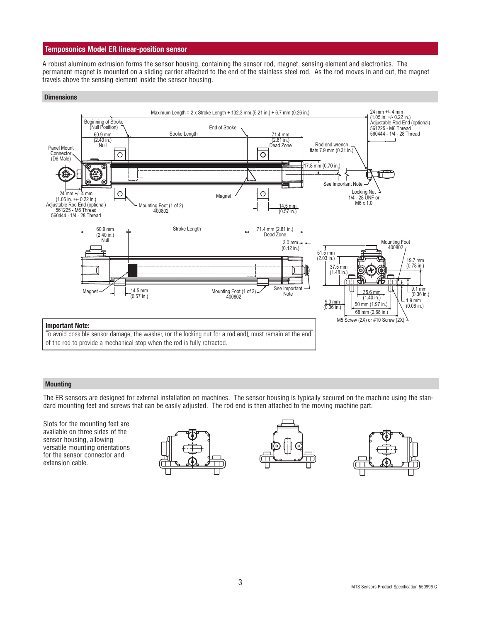## **Temposonics Model ER linear-position sensor**

A robust aluminum extrusion forms the sensor housing, containing the sensor rod, magnet, sensing element and electronics. The permanent magnet is mounted on a sliding carrier attached to the end of the stainless steel rod. As the rod moves in and out, the magnet travels above the sensing element inside the sensor housing.

### **Dimensions**



### **Mounting**

The ER sensors are designed for external installation on machines. The sensor housing is typically secured on the machine using the standard mounting feet and screws that can be easily adjusted. The rod end is then attached to the moving machine part.

Slots for the mounting feet are available on three sides of the sensor housing, allowing versatile mounting orientations for the sensor connector and extension cable.





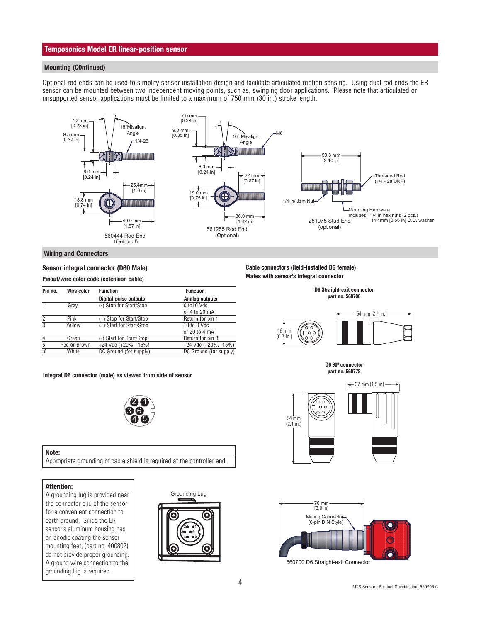### **Temposonics Model ER linear-position sensor**

### **Mounting (C0ntinued)**

Optional rod ends can be used to simplify sensor installation design and facilitate articulated motion sensing. Using dual rod ends the ER sensor can be mounted between two independent moving points, such as, swinging door applications. Please note that articulated or unsupported sensor applications must be limited to a maximum of 750 mm (30 in.) stroke length.



#### **Wiring and Connectors**

### **Sensor integral connector (D60 Male)**

**Pinout/wire color code (extension cable)**

| Pin no.<br>Wire color | <b>Function</b>          | <b>Function</b>        |
|-----------------------|--------------------------|------------------------|
|                       | Digital-pulse outputs    | <b>Analog outputs</b>  |
| Gray                  | (-) Stop for Start/Stop  | 0 to 10 Vdc            |
|                       |                          | or 4 to 20 mA          |
| Pink                  | (+) Stop for Start/Stop  | Return for pin 1       |
| Yellow                | (+) Start for Start/Stop | 10 to 0 Vdc            |
|                       |                          | or 20 to 4 mA          |
| Green                 | -) Start for Start/Stop  | Return for pin 3       |
| Red or Brown          | +24 Vdc (+20%, -15%)     | +24 Vdc (+20%, -15%)   |
| White                 | DC Ground (for supply)   | DC Ground (for supply) |
|                       |                          |                        |

#### **part no. 560778 Integral D6 connector (male) as viewed from side of sensor**



#### **Note:**

Appropriate grounding of cable shield is required at the controller end.

### **Attention:**

A grounding lug is provided near the connector end of the sensor for a convenient connection to earth ground. Since the ER sensor's aluminum housing has an anodic coating the sensor mounting feet, (part no. 400802), do not provide proper grounding. A ground wire connection to the grounding lug is required.





### **Cable connectors (field-installed D6 female) Mates with sensor's integral connector**



**D6 Straight-exit connector part no. 560700**

**D6 90º connector**





560700 D6 Straight-exit Connector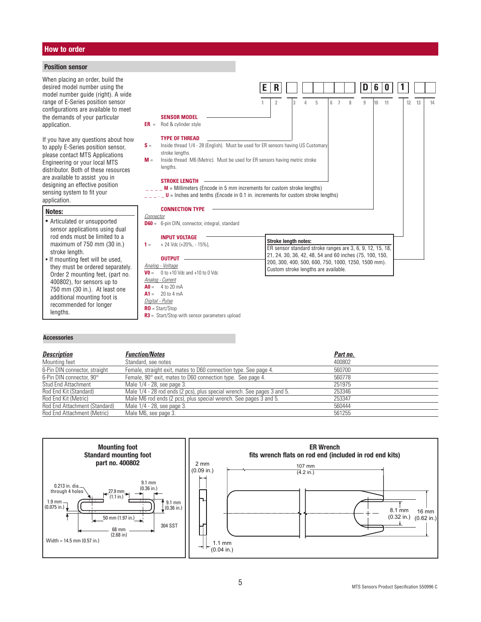### **How to order**

### **Position sensor**

When placing an order, build the desired model number using the model number guide (right). A wide range of E-Series position sensor configurations are available to meet the demands of your particular application.

If you have any questions about how to apply E-Series position sensor, please contact MTS Applications Engineering or your local MTS distributor. Both of these resources are available to assist you in designing an effective position sensing system to fit your application.

#### **Notes:**

- Articulated or unsupported sensor applications using dual rod ends must be limited to a maximum of 750 mm (30 in.) stroke length.
- If mounting feet will be used, they must be ordered separately. Order 2 mounting feet, (part no. 400802), for sensors up to 750 mm (30 in.). At least one additional mounting foot is recommended for longer lengths.

**RO** = Start/Stop

**R3** = Start/Stop with sensor parameters upload

#### **SENSOR MODEL ER** = Rod & cylinder style **TYPE OF THREAD S** = Inside thread 1/4 - 28 (English). Must be used for ER sensors having US Customary stroke lengths. **M** = Inside thread M6 (Metric). Must be used for ER sensors having metric stroke lengths. **STROKE LENGTH**  $\mathbf{M}$  = Millimeters (Encode in 5 mm increments for custom stroke lengths)  $\overline{\phantom{a}}$   $\overline{\phantom{a}}$  = Inches and tenths (Encode in 0.1 in. increments for custom stroke lengths) **CONNECTION TYPE** Connector **D60** = 6-pin DIN, connector, integral, standard **INPUT VOLTAGE 1** =  $+ 24 \text{ Vdc } (+20\%, -15\%),$ **OUTPUT** Analog - Voltage **V0** =  $0$  to +10 Vdc and +10 to 0 Vdc Analog - Current  $A0 = 4$  to 20 mA  $A1 = 20$  to 4 mA Digital - Pulse **E R 1 2 3 4 5 6 7 8 9 10 11 12 13 14 D 6 0 1 Stroke length notes:** ER sensor standard stroke ranges are 3, 6, 9, 12, 15, 18, 21, 24, 30, 36, 42, 48, 54 and 60 inches (75, 100, 150, 200, 300, 400, 500, 600, 750, 1000, 1250, 1500 mm). Custom stroke lengths are available.

### **Accessories**

| <b>Description</b>            | <b>Function/Notes</b>                                                   | Part no. |  |
|-------------------------------|-------------------------------------------------------------------------|----------|--|
| Mounting feet                 | Standard, see notes                                                     | 400802   |  |
| 6-Pin DIN connector, straight | Female, straight exit, mates to D60 connection type. See page 4.        | 560700   |  |
| 6-Pin DIN connector, 90°      | Female, 90° exit, mates to D60 connection type. See page 4.             | 560778   |  |
| Stud End Attachment           | Male 1/4 - 28, see page 3.                                              | 251975   |  |
| Rod End Kit (Standard)        | Male 1/4 - 28 rod ends (2 pcs), plus special wrench. See pages 3 and 5. | 253346   |  |
| Rod End Kit (Metric)          | Male M6 rod ends (2 pcs), plus special wrench. See pages 3 and 5.       | 253347   |  |
| Rod End Attachment (Standard) | Male 1/4 - 28, see page 3.                                              | 560444   |  |
| Rod End Attachment (Metric)   | Male M6, see page 3.                                                    | 561255   |  |